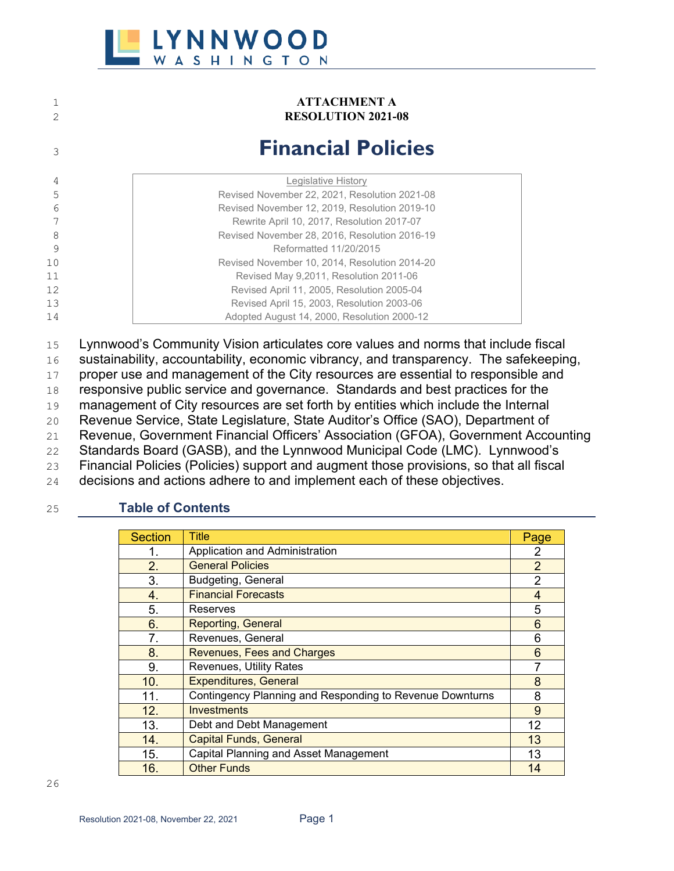

#### 1 **ATTACHMENT A**<br>2 **RESOLUTION 2021-**2 **RESOLUTION 2021-08**

## <sup>3</sup> **Financial Policies**

| 4  | Legislative History                           |
|----|-----------------------------------------------|
| 5  | Revised November 22, 2021, Resolution 2021-08 |
| 6  | Revised November 12, 2019, Resolution 2019-10 |
|    | Rewrite April 10, 2017, Resolution 2017-07    |
| 8  | Revised November 28, 2016, Resolution 2016-19 |
| 9  | Reformatted 11/20/2015                        |
| 10 | Revised November 10, 2014, Resolution 2014-20 |
| 11 | Revised May 9,2011, Resolution 2011-06        |
| 12 | Revised April 11, 2005, Resolution 2005-04    |
| 13 | Revised April 15, 2003, Resolution 2003-06    |
| 14 | Adopted August 14, 2000, Resolution 2000-12   |
|    |                                               |

15 Lynnwood's Community Vision articulates core values and norms that include fiscal

16 sustainability, accountability, economic vibrancy, and transparency. The safekeeping,

17 proper use and management of the City resources are essential to responsible and

18 responsive public service and governance. Standards and best practices for the

19 management of City resources are set forth by entities which include the Internal

20 Revenue Service, State Legislature, State Auditor's Office (SAO), Department of

21 Revenue, Government Financial Officers' Association (GFOA), Government Accounting

22 Standards Board (GASB), and the Lynnwood Municipal Code (LMC). Lynnwood's

23 Financial Policies (Policies) support and augment those provisions, so that all fiscal

24 decisions and actions adhere to and implement each of these objectives.

#### 25 **Table of Contents**

| <b>Section</b> | Title                                                    | Page           |
|----------------|----------------------------------------------------------|----------------|
|                | Application and Administration                           | 2              |
| 2.             | <b>General Policies</b>                                  | $\overline{2}$ |
| 3.             | Budgeting, General                                       | $\overline{2}$ |
| 4.             | <b>Financial Forecasts</b>                               | 4              |
| 5.             | Reserves                                                 | 5              |
| 6.             | <b>Reporting, General</b>                                | 6              |
| 7.             | Revenues, General                                        | 6              |
| 8.             | <b>Revenues, Fees and Charges</b>                        | 6              |
| 9.             | Revenues, Utility Rates                                  |                |
| 10.            | <b>Expenditures, General</b>                             | 8              |
| 11.            | Contingency Planning and Responding to Revenue Downturns | 8              |
| 12.            | <b>Investments</b>                                       | 9              |
| 13.            | Debt and Debt Management                                 | 12             |
| 14.            | <b>Capital Funds, General</b>                            | 13             |
| 15.            | Capital Planning and Asset Management                    | 13             |
| 16.            | <b>Other Funds</b>                                       | 14             |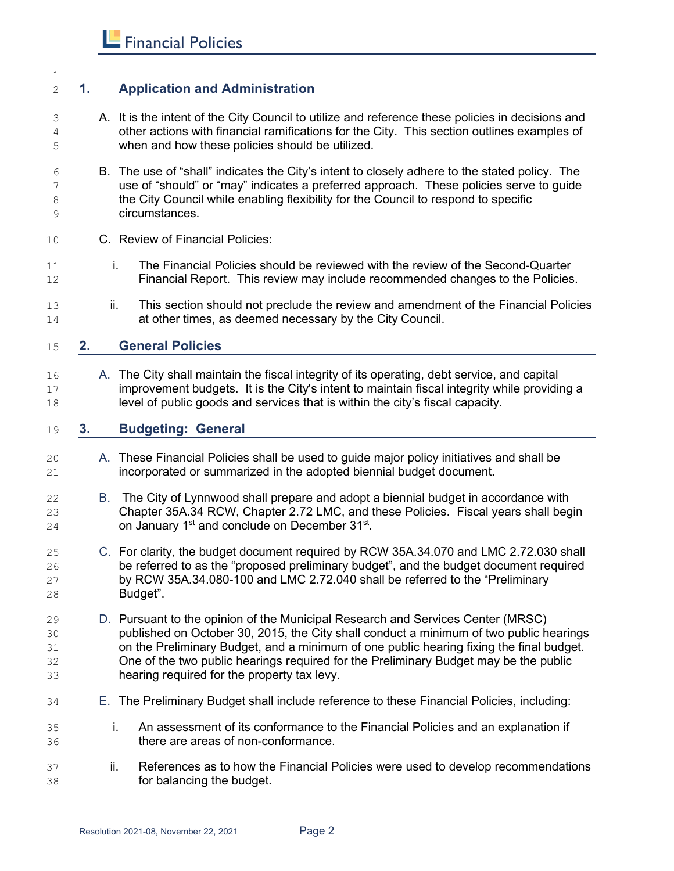#### **1. Application and Administration**

- A. It is the intent of the City Council to utilize and reference these policies in decisions and other actions with financial ramifications for the City. This section outlines examples of when and how these policies should be utilized.
- B. The use of "shall" indicates the City's intent to closely adhere to the stated policy. The use of "should" or "may" indicates a preferred approach. These policies serve to guide 8 the City Council while enabling flexibility for the Council to respond to specific circumstances.
- C. Review of Financial Policies:
- i. The Financial Policies should be reviewed with the review of the Second-Quarter Financial Report. This review may include recommended changes to the Policies.
- ii. This section should not preclude the review and amendment of the Financial Policies at other times, as deemed necessary by the City Council.

#### **2. General Policies**

16 A. The City shall maintain the fiscal integrity of its operating, debt service, and capital 17 improvement budgets. It is the City's intent to maintain fiscal integrity while providing a level of public goods and services that is within the city's fiscal capacity.

#### **3. Budgeting: General**

- A. These Financial Policies shall be used to guide major policy initiatives and shall be incorporated or summarized in the adopted biennial budget document.
- B. The City of Lynnwood shall prepare and adopt a biennial budget in accordance with Chapter 35A.34 RCW, Chapter 2.72 LMC, and these Policies. Fiscal years shall begin on January 1<sup>st</sup> and conclude on December 31<sup>st</sup>.
- C. For clarity, the budget document required by RCW 35A.34.070 and LMC 2.72.030 shall be referred to as the "proposed preliminary budget", and the budget document required by RCW 35A.34.080-100 and LMC 2.72.040 shall be referred to the "Preliminary Budget".
- 29 D. Pursuant to the opinion of the Municipal Research and Services Center (MRSC)<br>2015. the City shall conduct a minimum of two public h published on October 30, 2015, the City shall conduct a minimum of two public hearings on the Preliminary Budget, and a minimum of one public hearing fixing the final budget. One of the two public hearings required for the Preliminary Budget may be the public hearing required for the property tax levy.
- E. The Preliminary Budget shall include reference to these Financial Policies, including:
- i. An assessment of its conformance to the Financial Policies and an explanation if there are areas of non-conformance.
- ii. References as to how the Financial Policies were used to develop recommendations for balancing the budget.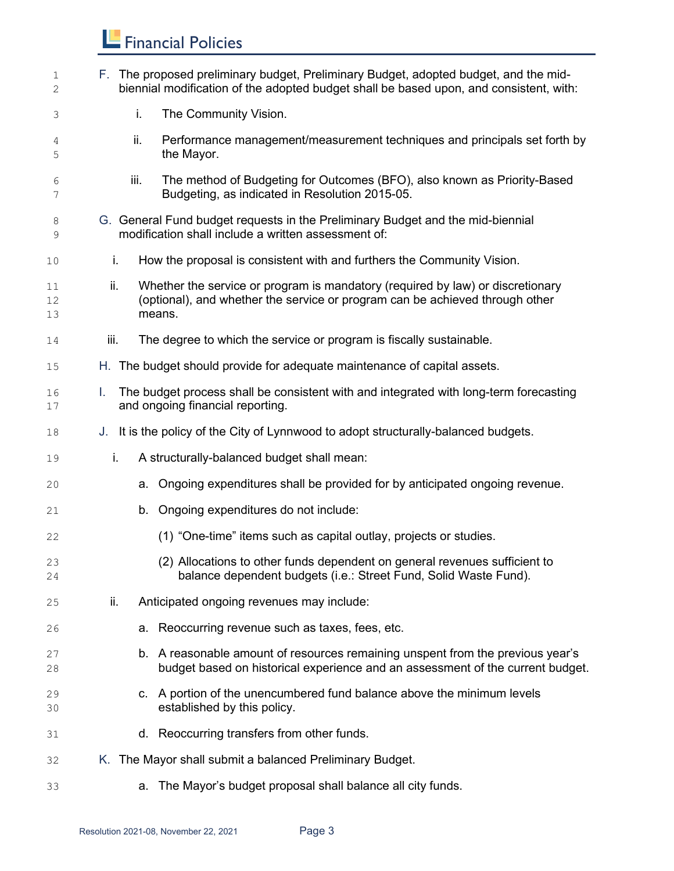| 1<br>2         |      | F. The proposed preliminary budget, Preliminary Budget, adopted budget, and the mid-<br>biennial modification of the adopted budget shall be based upon, and consistent, with: |
|----------------|------|--------------------------------------------------------------------------------------------------------------------------------------------------------------------------------|
| 3              | i.   | The Community Vision.                                                                                                                                                          |
| 4<br>5         | ii.  | Performance management/measurement techniques and principals set forth by<br>the Mayor.                                                                                        |
| 6<br>7         | iii. | The method of Budgeting for Outcomes (BFO), also known as Priority-Based<br>Budgeting, as indicated in Resolution 2015-05.                                                     |
| 8<br>9         |      | G. General Fund budget requests in the Preliminary Budget and the mid-biennial<br>modification shall include a written assessment of:                                          |
| 10             | i.   | How the proposal is consistent with and furthers the Community Vision.                                                                                                         |
| 11<br>12<br>13 | ii.  | Whether the service or program is mandatory (required by law) or discretionary<br>(optional), and whether the service or program can be achieved through other<br>means.       |
| 14             | iii. | The degree to which the service or program is fiscally sustainable.                                                                                                            |
| 15             |      | H. The budget should provide for adequate maintenance of capital assets.                                                                                                       |
| 16<br>17       | L.   | The budget process shall be consistent with and integrated with long-term forecasting<br>and ongoing financial reporting.                                                      |
| 18             |      | J. It is the policy of the City of Lynnwood to adopt structurally-balanced budgets.                                                                                            |
| 19             | i.   | A structurally-balanced budget shall mean:                                                                                                                                     |
| 20             |      | Ongoing expenditures shall be provided for by anticipated ongoing revenue.<br>а.                                                                                               |
| 21             |      | Ongoing expenditures do not include:<br>b.                                                                                                                                     |
| 22             |      | (1) "One-time" items such as capital outlay, projects or studies.                                                                                                              |
| 23<br>24       |      | (2) Allocations to other funds dependent on general revenues sufficient to<br>balance dependent budgets (i.e.: Street Fund, Solid Waste Fund).                                 |
| 25             | ii.  | Anticipated ongoing revenues may include:                                                                                                                                      |
| 26             |      | a. Reoccurring revenue such as taxes, fees, etc.                                                                                                                               |
| 27<br>28       |      | b. A reasonable amount of resources remaining unspent from the previous year's<br>budget based on historical experience and an assessment of the current budget.               |
| 29<br>30       |      | c. A portion of the unencumbered fund balance above the minimum levels<br>established by this policy.                                                                          |
| 31             |      | d. Reoccurring transfers from other funds.                                                                                                                                     |
| 32             |      | K. The Mayor shall submit a balanced Preliminary Budget.                                                                                                                       |
| 33             |      | The Mayor's budget proposal shall balance all city funds.<br>a.                                                                                                                |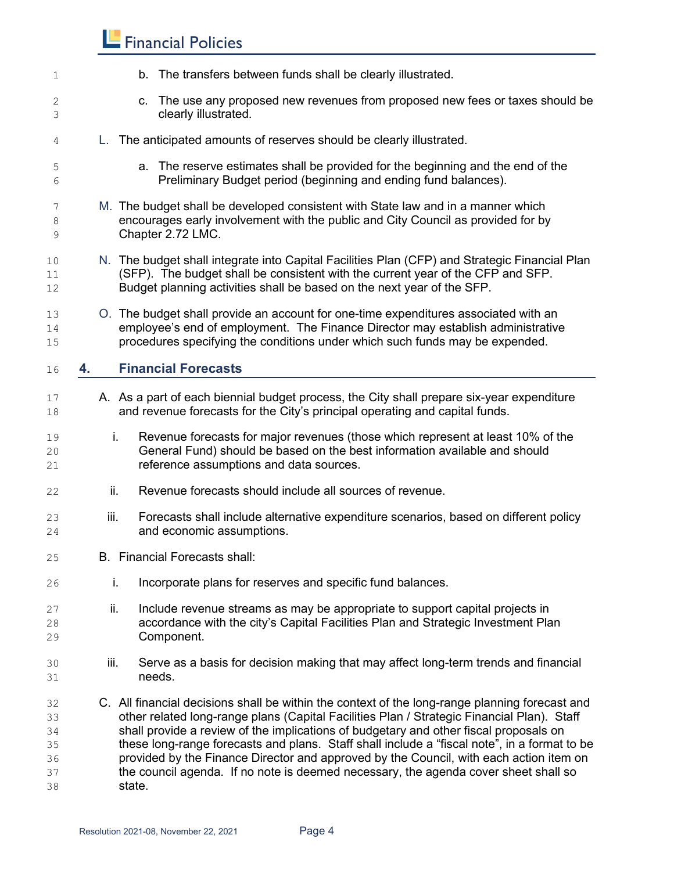| 1                                      |        | b. The transfers between funds shall be clearly illustrated.                                                                                                                                                                                                                                                                                                                                                                                                                                                                                                           |
|----------------------------------------|--------|------------------------------------------------------------------------------------------------------------------------------------------------------------------------------------------------------------------------------------------------------------------------------------------------------------------------------------------------------------------------------------------------------------------------------------------------------------------------------------------------------------------------------------------------------------------------|
| 2<br>3                                 |        | c. The use any proposed new revenues from proposed new fees or taxes should be<br>clearly illustrated.                                                                                                                                                                                                                                                                                                                                                                                                                                                                 |
| 4                                      |        | L. The anticipated amounts of reserves should be clearly illustrated.                                                                                                                                                                                                                                                                                                                                                                                                                                                                                                  |
| 5<br>6                                 |        | a. The reserve estimates shall be provided for the beginning and the end of the<br>Preliminary Budget period (beginning and ending fund balances).                                                                                                                                                                                                                                                                                                                                                                                                                     |
| 7<br>8<br>9                            |        | M. The budget shall be developed consistent with State law and in a manner which<br>encourages early involvement with the public and City Council as provided for by<br>Chapter 2.72 LMC.                                                                                                                                                                                                                                                                                                                                                                              |
| 10<br>11<br>12                         |        | N. The budget shall integrate into Capital Facilities Plan (CFP) and Strategic Financial Plan<br>(SFP). The budget shall be consistent with the current year of the CFP and SFP.<br>Budget planning activities shall be based on the next year of the SFP.                                                                                                                                                                                                                                                                                                             |
| 13<br>14<br>15                         |        | O. The budget shall provide an account for one-time expenditures associated with an<br>employee's end of employment. The Finance Director may establish administrative<br>procedures specifying the conditions under which such funds may be expended.                                                                                                                                                                                                                                                                                                                 |
| 16                                     | 4.     | <b>Financial Forecasts</b>                                                                                                                                                                                                                                                                                                                                                                                                                                                                                                                                             |
| 17<br>18                               |        | A. As a part of each biennial budget process, the City shall prepare six-year expenditure<br>and revenue forecasts for the City's principal operating and capital funds.                                                                                                                                                                                                                                                                                                                                                                                               |
| 19<br>20<br>21                         | i.     | Revenue forecasts for major revenues (those which represent at least 10% of the<br>General Fund) should be based on the best information available and should<br>reference assumptions and data sources.                                                                                                                                                                                                                                                                                                                                                               |
| 22                                     | ii.    | Revenue forecasts should include all sources of revenue.                                                                                                                                                                                                                                                                                                                                                                                                                                                                                                               |
| 23<br>24                               | iii.   | Forecasts shall include alternative expenditure scenarios, based on different policy<br>and economic assumptions.                                                                                                                                                                                                                                                                                                                                                                                                                                                      |
| 25                                     |        | B. Financial Forecasts shall:                                                                                                                                                                                                                                                                                                                                                                                                                                                                                                                                          |
| 26                                     | i.     | Incorporate plans for reserves and specific fund balances.                                                                                                                                                                                                                                                                                                                                                                                                                                                                                                             |
| 27<br>28<br>29                         | ii.    | Include revenue streams as may be appropriate to support capital projects in<br>accordance with the city's Capital Facilities Plan and Strategic Investment Plan<br>Component.                                                                                                                                                                                                                                                                                                                                                                                         |
| 30<br>31                               | iii.   | Serve as a basis for decision making that may affect long-term trends and financial<br>needs.                                                                                                                                                                                                                                                                                                                                                                                                                                                                          |
| 32<br>33<br>34<br>35<br>36<br>37<br>38 | state. | C. All financial decisions shall be within the context of the long-range planning forecast and<br>other related long-range plans (Capital Facilities Plan / Strategic Financial Plan). Staff<br>shall provide a review of the implications of budgetary and other fiscal proposals on<br>these long-range forecasts and plans. Staff shall include a "fiscal note", in a format to be<br>provided by the Finance Director and approved by the Council, with each action item on<br>the council agenda. If no note is deemed necessary, the agenda cover sheet shall so |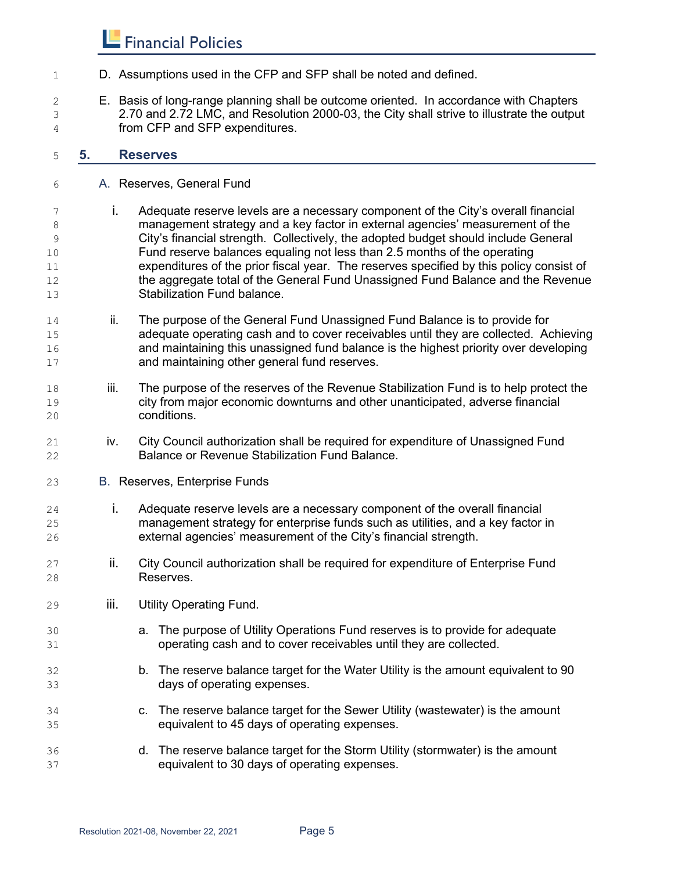- D. Assumptions used in the CFP and SFP shall be noted and defined.
- E. Basis of long-range planning shall be outcome oriented. In accordance with Chapters 2.70 and 2.72 LMC, and Resolution 2000-03, the City shall strive to illustrate the output from CFP and SFP expenditures.

#### **5. Reserves**

- A. Reserves, General Fund
- i. Adequate reserve levels are a necessary component of the City's overall financial management strategy and a key factor in external agencies' measurement of the City's financial strength. Collectively, the adopted budget should include General Fund reserve balances equaling not less than 2.5 months of the operating expenditures of the prior fiscal year. The reserves specified by this policy consist of the aggregate total of the General Fund Unassigned Fund Balance and the Revenue Stabilization Fund balance.
- 14 ii. The purpose of the General Fund Unassigned Fund Balance is to provide for adequate operating cash and to cover receivables until they are collected. Achieving and maintaining this unassigned fund balance is the highest priority over developing and maintaining other general fund reserves.
- iii. The purpose of the reserves of the Revenue Stabilization Fund is to help protect the city from major economic downturns and other unanticipated, adverse financial conditions.
- iv. City Council authorization shall be required for expenditure of Unassigned Fund Balance or Revenue Stabilization Fund Balance.
- B. Reserves, Enterprise Funds
- i. Adequate reserve levels are a necessary component of the overall financial management strategy for enterprise funds such as utilities, and a key factor in external agencies' measurement of the City's financial strength.
- ii. City Council authorization shall be required for expenditure of Enterprise Fund Reserves.
- iii. Utility Operating Fund.
- a. The purpose of Utility Operations Fund reserves is to provide for adequate operating cash and to cover receivables until they are collected.
- b. The reserve balance target for the Water Utility is the amount equivalent to 90 days of operating expenses.
- c. The reserve balance target for the Sewer Utility (wastewater) is the amount equivalent to 45 days of operating expenses.
- d. The reserve balance target for the Storm Utility (stormwater) is the amount equivalent to 30 days of operating expenses.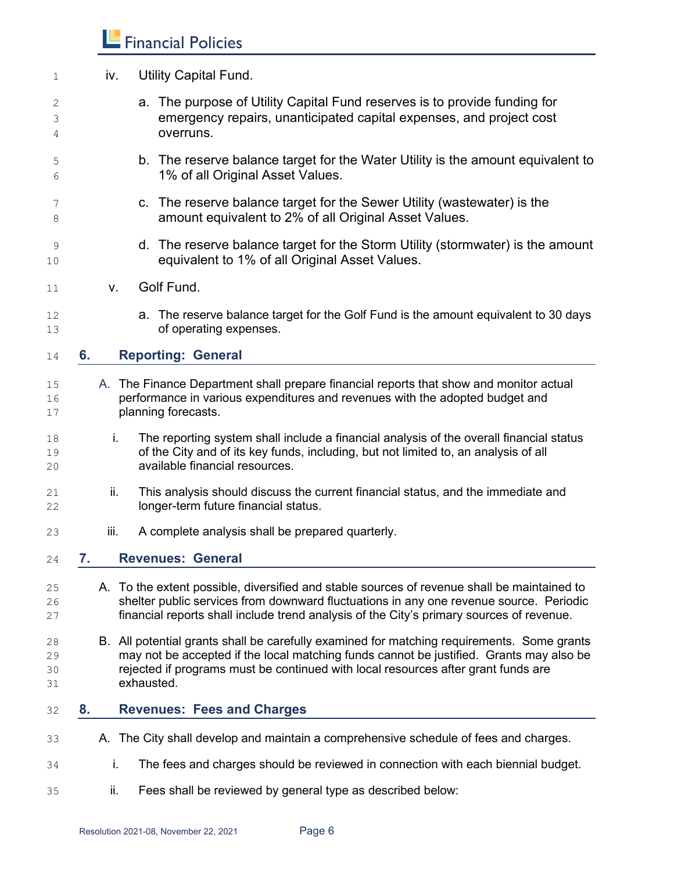- 1 iv. Utility Capital Fund. a. The purpose of Utility Capital Fund reserves is to provide funding for emergency repairs, unanticipated capital expenses, and project cost overruns. b. The reserve balance target for the Water Utility is the amount equivalent to 1% of all Original Asset Values. c. The reserve balance target for the Sewer Utility (wastewater) is the **amount equivalent to 2% of all Original Asset Values.**  d. The reserve balance target for the Storm Utility (stormwater) is the amount equivalent to 1% of all Original Asset Values. v. Golf Fund. a. The reserve balance target for the Golf Fund is the amount equivalent to 30 days of operating expenses. **6. Reporting: General** A. The Finance Department shall prepare financial reports that show and monitor actual performance in various expenditures and revenues with the adopted budget and **planning forecasts. i.** The reporting system shall include a financial analysis of the overall financial status of the City and of its key funds, including, but not limited to, an analysis of all available financial resources. 21 ii. This analysis should discuss the current financial status, and the immediate and longer-term future financial status. iii. A complete analysis shall be prepared quarterly. **7. Revenues: General** A. To the extent possible, diversified and stable sources of revenue shall be maintained to shelter public services from downward fluctuations in any one revenue source. Periodic financial reports shall include trend analysis of the City's primary sources of revenue. B. All potential grants shall be carefully examined for matching requirements. Some grants may not be accepted if the local matching funds cannot be justified. Grants may also be rejected if programs must be continued with local resources after grant funds are exhausted. **8. Revenues: Fees and Charges** A. The City shall develop and maintain a comprehensive schedule of fees and charges. i. The fees and charges should be reviewed in connection with each biennial budget.
- ii. Fees shall be reviewed by general type as described below: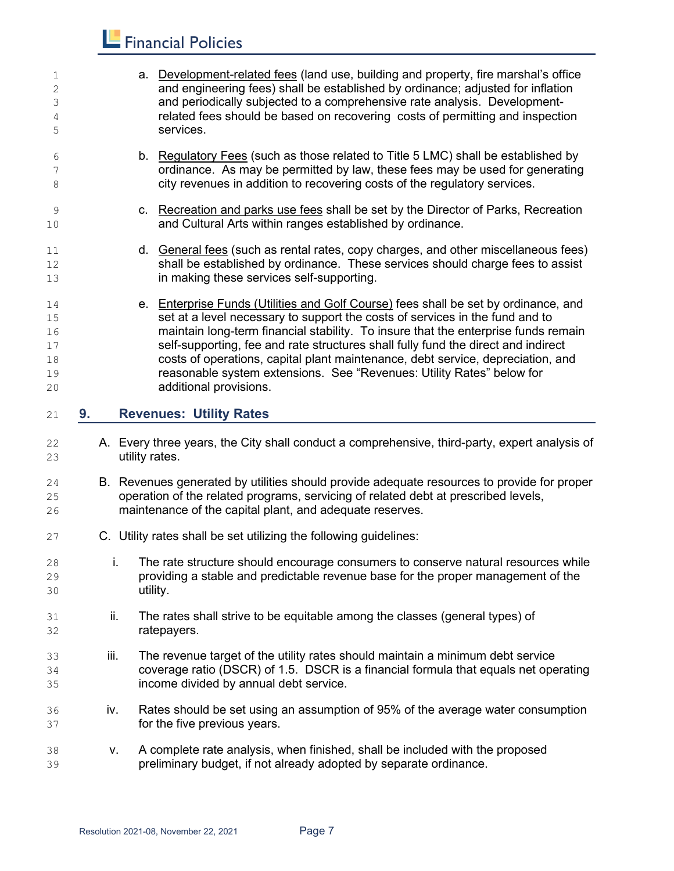| 1<br>2<br>3<br>4<br>5                  |      |                | a. Development-related fees (land use, building and property, fire marshal's office<br>and engineering fees) shall be established by ordinance; adjusted for inflation<br>and periodically subjected to a comprehensive rate analysis. Development-<br>related fees should be based on recovering costs of permitting and inspection<br>services.                                                                                                                                                                                    |
|----------------------------------------|------|----------------|--------------------------------------------------------------------------------------------------------------------------------------------------------------------------------------------------------------------------------------------------------------------------------------------------------------------------------------------------------------------------------------------------------------------------------------------------------------------------------------------------------------------------------------|
| 6<br>7<br>8                            |      |                | b. Regulatory Fees (such as those related to Title 5 LMC) shall be established by<br>ordinance. As may be permitted by law, these fees may be used for generating<br>city revenues in addition to recovering costs of the regulatory services.                                                                                                                                                                                                                                                                                       |
| 9<br>10                                |      |                | c. Recreation and parks use fees shall be set by the Director of Parks, Recreation<br>and Cultural Arts within ranges established by ordinance.                                                                                                                                                                                                                                                                                                                                                                                      |
| 11<br>12<br>13                         |      |                | d. General fees (such as rental rates, copy charges, and other miscellaneous fees)<br>shall be established by ordinance. These services should charge fees to assist<br>in making these services self-supporting.                                                                                                                                                                                                                                                                                                                    |
| 14<br>15<br>16<br>17<br>18<br>19<br>20 |      |                | e. Enterprise Funds (Utilities and Golf Course) fees shall be set by ordinance, and<br>set at a level necessary to support the costs of services in the fund and to<br>maintain long-term financial stability. To insure that the enterprise funds remain<br>self-supporting, fee and rate structures shall fully fund the direct and indirect<br>costs of operations, capital plant maintenance, debt service, depreciation, and<br>reasonable system extensions. See "Revenues: Utility Rates" below for<br>additional provisions. |
| 21                                     | 9.   |                | <b>Revenues: Utility Rates</b>                                                                                                                                                                                                                                                                                                                                                                                                                                                                                                       |
| 22<br>23                               |      | utility rates. | A. Every three years, the City shall conduct a comprehensive, third-party, expert analysis of                                                                                                                                                                                                                                                                                                                                                                                                                                        |
| 24<br>25<br>26                         |      |                | B. Revenues generated by utilities should provide adequate resources to provide for proper<br>operation of the related programs, servicing of related debt at prescribed levels,<br>maintenance of the capital plant, and adequate reserves.                                                                                                                                                                                                                                                                                         |
| 27                                     |      |                | C. Utility rates shall be set utilizing the following guidelines:                                                                                                                                                                                                                                                                                                                                                                                                                                                                    |
| 28<br>29<br>30                         | İ.   | utility.       | The rate structure should encourage consumers to conserve natural resources while<br>providing a stable and predictable revenue base for the proper management of the                                                                                                                                                                                                                                                                                                                                                                |
| 31<br>32                               | ii.  |                | The rates shall strive to be equitable among the classes (general types) of<br>ratepayers.                                                                                                                                                                                                                                                                                                                                                                                                                                           |
| 33<br>34<br>35                         | iii. |                | The revenue target of the utility rates should maintain a minimum debt service<br>coverage ratio (DSCR) of 1.5. DSCR is a financial formula that equals net operating<br>income divided by annual debt service.                                                                                                                                                                                                                                                                                                                      |
| 36<br>37                               | iv.  |                | Rates should be set using an assumption of 95% of the average water consumption<br>for the five previous years.                                                                                                                                                                                                                                                                                                                                                                                                                      |
|                                        |      |                |                                                                                                                                                                                                                                                                                                                                                                                                                                                                                                                                      |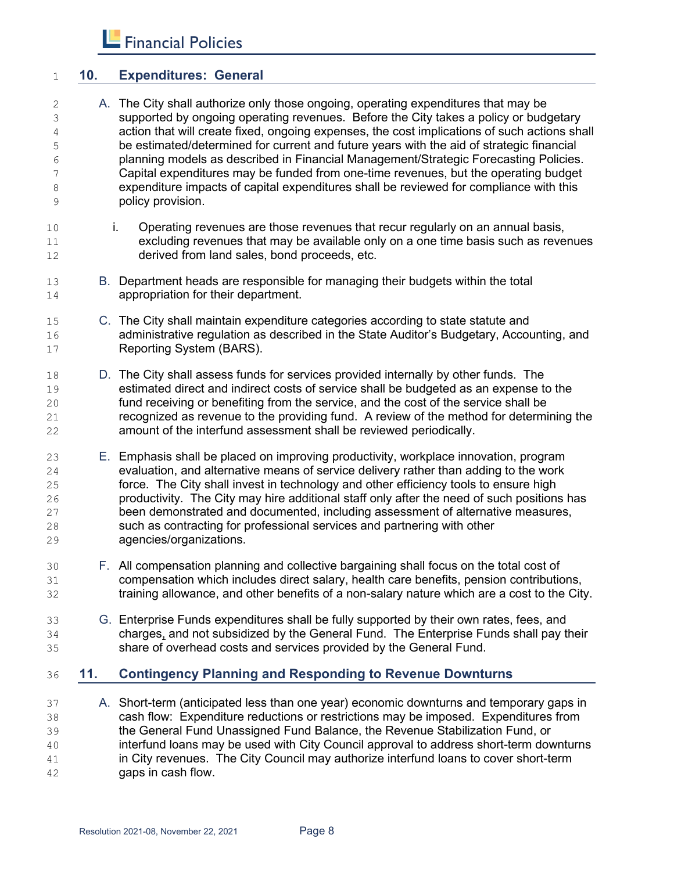#### **10. Expenditures: General**

- A. The City shall authorize only those ongoing, operating expenditures that may be supported by ongoing operating revenues. Before the City takes a policy or budgetary action that will create fixed, ongoing expenses, the cost implications of such actions shall be estimated/determined for current and future years with the aid of strategic financial planning models as described in Financial Management/Strategic Forecasting Policies. Capital expenditures may be funded from one-time revenues, but the operating budget expenditure impacts of capital expenditures shall be reviewed for compliance with this policy provision.
- i. Operating revenues are those revenues that recur regularly on an annual basis, excluding revenues that may be available only on a one time basis such as revenues derived from land sales, bond proceeds, etc.
- B. Department heads are responsible for managing their budgets within the total appropriation for their department.
- C. The City shall maintain expenditure categories according to state statute and administrative regulation as described in the State Auditor's Budgetary, Accounting, and Reporting System (BARS).
- D. The City shall assess funds for services provided internally by other funds. The estimated direct and indirect costs of service shall be budgeted as an expense to the fund receiving or benefiting from the service, and the cost of the service shall be recognized as revenue to the providing fund. A review of the method for determining the amount of the interfund assessment shall be reviewed periodically.
- E. Emphasis shall be placed on improving productivity, workplace innovation, program evaluation, and alternative means of service delivery rather than adding to the work force. The City shall invest in technology and other efficiency tools to ensure high productivity. The City may hire additional staff only after the need of such positions has been demonstrated and documented, including assessment of alternative measures, such as contracting for professional services and partnering with other agencies/organizations.
- F. All compensation planning and collective bargaining shall focus on the total cost of compensation which includes direct salary, health care benefits, pension contributions, training allowance, and other benefits of a non-salary nature which are a cost to the City.
- G. Enterprise Funds expenditures shall be fully supported by their own rates, fees, and charges, and not subsidized by the General Fund. The Enterprise Funds shall pay their share of overhead costs and services provided by the General Fund.

#### **11. Contingency Planning and Responding to Revenue Downturns**

 A. Short-term (anticipated less than one year) economic downturns and temporary gaps in cash flow: Expenditure reductions or restrictions may be imposed. Expenditures from the General Fund Unassigned Fund Balance, the Revenue Stabilization Fund, or interfund loans may be used with City Council approval to address short-term downturns in City revenues. The City Council may authorize interfund loans to cover short-term gaps in cash flow.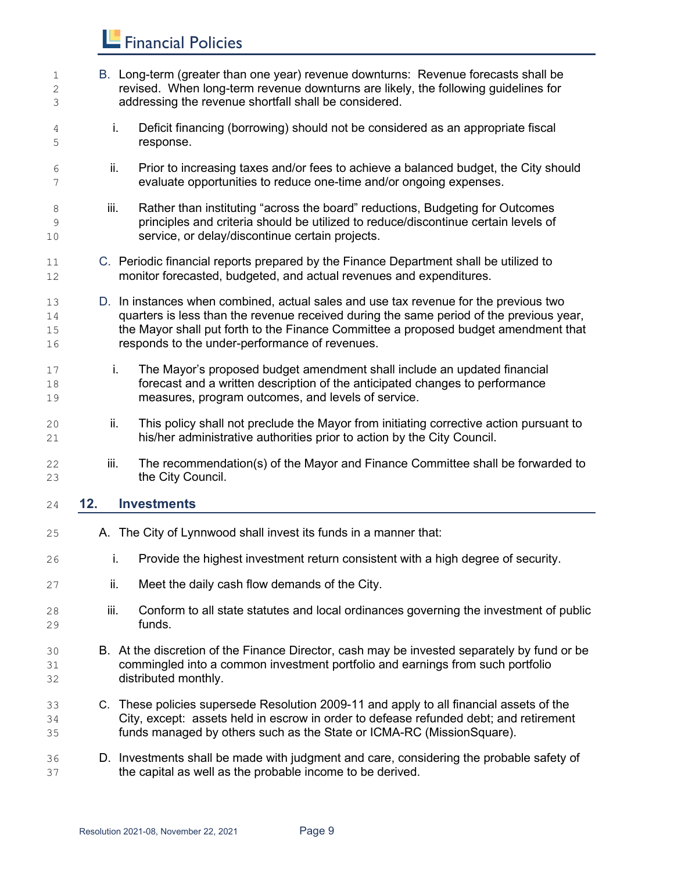B. Long-term (greater than one year) revenue downturns: Revenue forecasts shall be revised. When long-term revenue downturns are likely, the following guidelines for addressing the revenue shortfall shall be considered. i. Deficit financing (borrowing) should not be considered as an appropriate fiscal response. ii. Prior to increasing taxes and/or fees to achieve a balanced budget, the City should evaluate opportunities to reduce one-time and/or ongoing expenses. 8 iii. Rather than instituting "across the board" reductions, Budgeting for Outcomes principles and criteria should be utilized to reduce/discontinue certain levels of service, or delay/discontinue certain projects. C. Periodic financial reports prepared by the Finance Department shall be utilized to monitor forecasted, budgeted, and actual revenues and expenditures. D. In instances when combined, actual sales and use tax revenue for the previous two quarters is less than the revenue received during the same period of the previous year, the Mayor shall put forth to the Finance Committee a proposed budget amendment that responds to the under-performance of revenues. i. The Mayor's proposed budget amendment shall include an updated financial forecast and a written description of the anticipated changes to performance measures, program outcomes, and levels of service. ii. This policy shall not preclude the Mayor from initiating corrective action pursuant to his/her administrative authorities prior to action by the City Council. iii. The recommendation(s) of the Mayor and Finance Committee shall be forwarded to the City Council. **12. Investments** A. The City of Lynnwood shall invest its funds in a manner that: i. Provide the highest investment return consistent with a high degree of security. **ii.** Meet the daily cash flow demands of the City. 28 iii. Conform to all state statutes and local ordinances governing the investment of public funds. B. At the discretion of the Finance Director, cash may be invested separately by fund or be commingled into a common investment portfolio and earnings from such portfolio distributed monthly. C. These policies supersede Resolution 2009-11 and apply to all financial assets of the City, except: assets held in escrow in order to defease refunded debt; and retirement funds managed by others such as the State or ICMA-RC (MissionSquare). D. Investments shall be made with judgment and care, considering the probable safety of the capital as well as the probable income to be derived.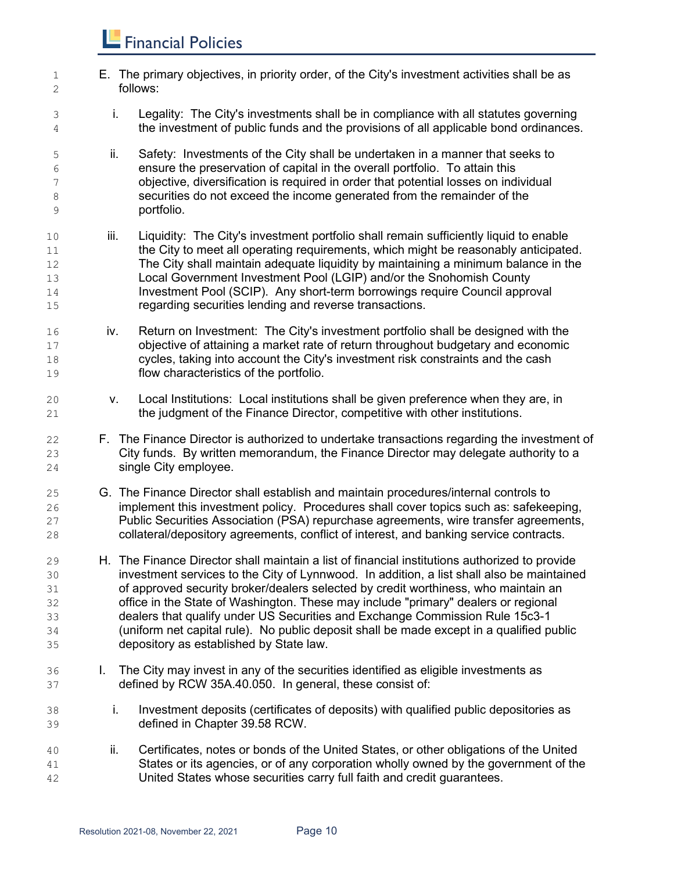| $1\,$<br>2                             |      | E. The primary objectives, in priority order, of the City's investment activities shall be as<br>follows:                                                                                                                                                                                                                                                                                                                                                                                                                                                                                     |
|----------------------------------------|------|-----------------------------------------------------------------------------------------------------------------------------------------------------------------------------------------------------------------------------------------------------------------------------------------------------------------------------------------------------------------------------------------------------------------------------------------------------------------------------------------------------------------------------------------------------------------------------------------------|
| 3<br>4                                 | i.   | Legality: The City's investments shall be in compliance with all statutes governing<br>the investment of public funds and the provisions of all applicable bond ordinances.                                                                                                                                                                                                                                                                                                                                                                                                                   |
| $\mathsf S$<br>6<br>7<br>8<br>9        | ii.  | Safety: Investments of the City shall be undertaken in a manner that seeks to<br>ensure the preservation of capital in the overall portfolio. To attain this<br>objective, diversification is required in order that potential losses on individual<br>securities do not exceed the income generated from the remainder of the<br>portfolio.                                                                                                                                                                                                                                                  |
| 10<br>$11\,$<br>12<br>13<br>14<br>15   | iii. | Liquidity: The City's investment portfolio shall remain sufficiently liquid to enable<br>the City to meet all operating requirements, which might be reasonably anticipated.<br>The City shall maintain adequate liquidity by maintaining a minimum balance in the<br>Local Government Investment Pool (LGIP) and/or the Snohomish County<br>Investment Pool (SCIP). Any short-term borrowings require Council approval<br>regarding securities lending and reverse transactions.                                                                                                             |
| 16<br>$17$<br>18<br>19                 | iv.  | Return on Investment: The City's investment portfolio shall be designed with the<br>objective of attaining a market rate of return throughout budgetary and economic<br>cycles, taking into account the City's investment risk constraints and the cash<br>flow characteristics of the portfolio.                                                                                                                                                                                                                                                                                             |
| 20<br>21                               | V.   | Local Institutions: Local institutions shall be given preference when they are, in<br>the judgment of the Finance Director, competitive with other institutions.                                                                                                                                                                                                                                                                                                                                                                                                                              |
| 22<br>23<br>24                         |      | F. The Finance Director is authorized to undertake transactions regarding the investment of<br>City funds. By written memorandum, the Finance Director may delegate authority to a<br>single City employee.                                                                                                                                                                                                                                                                                                                                                                                   |
| 25<br>26<br>27<br>28                   |      | G. The Finance Director shall establish and maintain procedures/internal controls to<br>implement this investment policy. Procedures shall cover topics such as: safekeeping,<br>Public Securities Association (PSA) repurchase agreements, wire transfer agreements,<br>collateral/depository agreements, conflict of interest, and banking service contracts.                                                                                                                                                                                                                               |
| 29<br>30<br>31<br>32<br>33<br>34<br>35 |      | H. The Finance Director shall maintain a list of financial institutions authorized to provide<br>investment services to the City of Lynnwood. In addition, a list shall also be maintained<br>of approved security broker/dealers selected by credit worthiness, who maintain an<br>office in the State of Washington. These may include "primary" dealers or regional<br>dealers that qualify under US Securities and Exchange Commission Rule 15c3-1<br>(uniform net capital rule). No public deposit shall be made except in a qualified public<br>depository as established by State law. |
| 36<br>37                               | L.   | The City may invest in any of the securities identified as eligible investments as<br>defined by RCW 35A.40.050. In general, these consist of:                                                                                                                                                                                                                                                                                                                                                                                                                                                |
| 38<br>39                               | i.   | Investment deposits (certificates of deposits) with qualified public depositories as<br>defined in Chapter 39.58 RCW.                                                                                                                                                                                                                                                                                                                                                                                                                                                                         |
| 40<br>41<br>42                         | ii.  | Certificates, notes or bonds of the United States, or other obligations of the United<br>States or its agencies, or of any corporation wholly owned by the government of the<br>United States whose securities carry full faith and credit guarantees.                                                                                                                                                                                                                                                                                                                                        |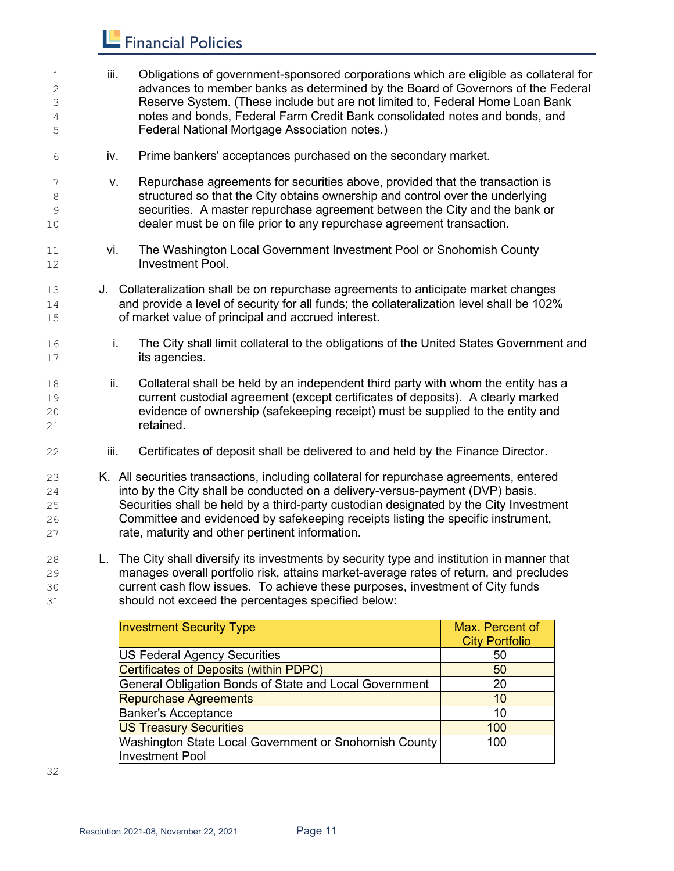| 1<br>2<br>3<br>4<br>5                  | iii.         | Obligations of government-sponsored corporations which are eligible as collateral for<br>advances to member banks as determined by the Board of Governors of the Federal<br>Reserve System. (These include but are not limited to, Federal Home Loan Bank<br>notes and bonds, Federal Farm Credit Bank consolidated notes and bonds, and<br>Federal National Mortgage Association notes.)                                                                                                            |
|----------------------------------------|--------------|------------------------------------------------------------------------------------------------------------------------------------------------------------------------------------------------------------------------------------------------------------------------------------------------------------------------------------------------------------------------------------------------------------------------------------------------------------------------------------------------------|
| 6                                      | iv.          | Prime bankers' acceptances purchased on the secondary market.                                                                                                                                                                                                                                                                                                                                                                                                                                        |
| 7<br>$\,8\,$<br>9<br>10                | V.           | Repurchase agreements for securities above, provided that the transaction is<br>structured so that the City obtains ownership and control over the underlying<br>securities. A master repurchase agreement between the City and the bank or<br>dealer must be on file prior to any repurchase agreement transaction.                                                                                                                                                                                 |
| 11<br>12                               | vi.          | The Washington Local Government Investment Pool or Snohomish County<br><b>Investment Pool.</b>                                                                                                                                                                                                                                                                                                                                                                                                       |
| 13<br>14<br>15                         |              | J. Collateralization shall be on repurchase agreements to anticipate market changes<br>and provide a level of security for all funds; the collateralization level shall be 102%<br>of market value of principal and accrued interest.                                                                                                                                                                                                                                                                |
| 16<br>17                               | i.           | The City shall limit collateral to the obligations of the United States Government and<br>its agencies.                                                                                                                                                                                                                                                                                                                                                                                              |
| 18<br>19<br>20<br>21                   | ii.          | Collateral shall be held by an independent third party with whom the entity has a<br>current custodial agreement (except certificates of deposits). A clearly marked<br>evidence of ownership (safekeeping receipt) must be supplied to the entity and<br>retained.                                                                                                                                                                                                                                  |
| 22                                     | iii.         | Certificates of deposit shall be delivered to and held by the Finance Director.                                                                                                                                                                                                                                                                                                                                                                                                                      |
| 23<br>24<br>25<br>26<br>27<br>$\Omega$ | $\mathbf{L}$ | K. All securities transactions, including collateral for repurchase agreements, entered<br>into by the City shall be conducted on a delivery-versus-payment (DVP) basis.<br>Securities shall be held by a third-party custodian designated by the City Investment<br>Committee and evidenced by safekeeping receipts listing the specific instrument,<br>rate, maturity and other pertinent information.<br>The City shall diversify its investments by security type and institution in manner that |
|                                        |              |                                                                                                                                                                                                                                                                                                                                                                                                                                                                                                      |

 L. The City shall diversify its investments by security type and institution in manner that 29 manages overall portfolio risk, attains market-average rates of return, and precludes<br>30 current cash flow issues. To achieve these purposes, investment of City funds current cash flow issues. To achieve these purposes, investment of City funds should not exceed the percentages specified below:

| <b>Investment Security Type</b>                                                        | Max. Percent of<br><b>City Portfolio</b> |
|----------------------------------------------------------------------------------------|------------------------------------------|
| US Federal Agency Securities                                                           | 50                                       |
| Certificates of Deposits (within PDPC)                                                 | 50                                       |
| General Obligation Bonds of State and Local Government                                 | 20                                       |
| <b>Repurchase Agreements</b>                                                           | 10                                       |
| <b>Banker's Acceptance</b>                                                             | 10                                       |
| <b>US Treasury Securities</b>                                                          | 100                                      |
| <b>Washington State Local Government or Snohomish County</b><br><b>Investment Pool</b> | 100                                      |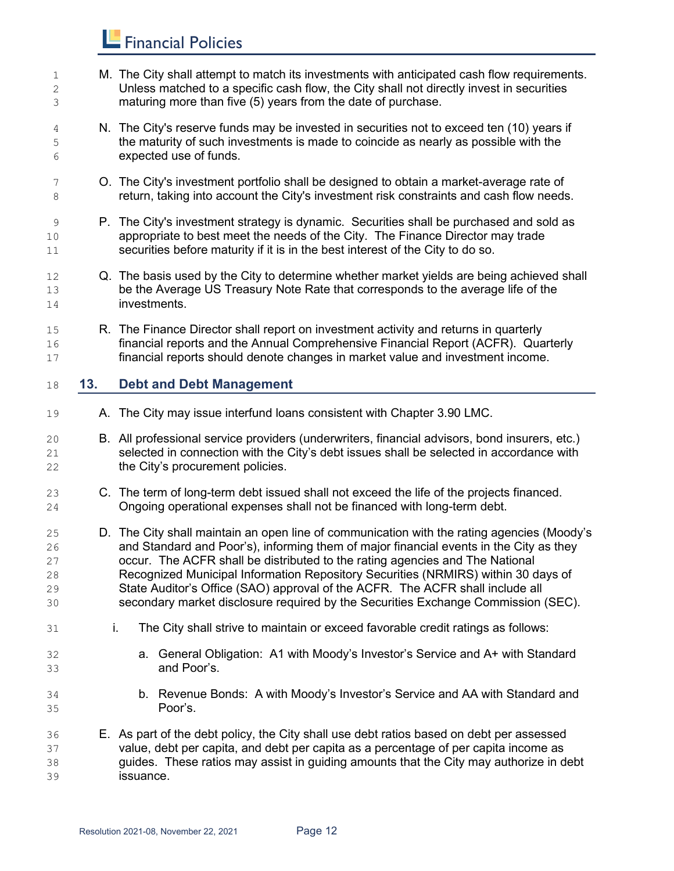| $1\,$<br>2<br>3                  |     | M. The City shall attempt to match its investments with anticipated cash flow requirements.<br>Unless matched to a specific cash flow, the City shall not directly invest in securities<br>maturing more than five (5) years from the date of purchase.                                                                                                                                                                                                                                                                         |
|----------------------------------|-----|---------------------------------------------------------------------------------------------------------------------------------------------------------------------------------------------------------------------------------------------------------------------------------------------------------------------------------------------------------------------------------------------------------------------------------------------------------------------------------------------------------------------------------|
| 4<br>5<br>6                      |     | N. The City's reserve funds may be invested in securities not to exceed ten (10) years if<br>the maturity of such investments is made to coincide as nearly as possible with the<br>expected use of funds.                                                                                                                                                                                                                                                                                                                      |
| 7<br>8                           |     | O. The City's investment portfolio shall be designed to obtain a market-average rate of<br>return, taking into account the City's investment risk constraints and cash flow needs.                                                                                                                                                                                                                                                                                                                                              |
| 9<br>10<br>11                    |     | P. The City's investment strategy is dynamic. Securities shall be purchased and sold as<br>appropriate to best meet the needs of the City. The Finance Director may trade<br>securities before maturity if it is in the best interest of the City to do so.                                                                                                                                                                                                                                                                     |
| 12<br>13<br>14                   |     | Q. The basis used by the City to determine whether market yields are being achieved shall<br>be the Average US Treasury Note Rate that corresponds to the average life of the<br>investments.                                                                                                                                                                                                                                                                                                                                   |
| 15<br>16<br>17                   |     | R. The Finance Director shall report on investment activity and returns in quarterly<br>financial reports and the Annual Comprehensive Financial Report (ACFR). Quarterly<br>financial reports should denote changes in market value and investment income.                                                                                                                                                                                                                                                                     |
| 18                               | 13. | <b>Debt and Debt Management</b>                                                                                                                                                                                                                                                                                                                                                                                                                                                                                                 |
| 19                               |     | A. The City may issue interfund loans consistent with Chapter 3.90 LMC.                                                                                                                                                                                                                                                                                                                                                                                                                                                         |
| 20<br>21<br>22                   |     | B. All professional service providers (underwriters, financial advisors, bond insurers, etc.)<br>selected in connection with the City's debt issues shall be selected in accordance with<br>the City's procurement policies.                                                                                                                                                                                                                                                                                                    |
| 23<br>24                         |     | C. The term of long-term debt issued shall not exceed the life of the projects financed.<br>Ongoing operational expenses shall not be financed with long-term debt.                                                                                                                                                                                                                                                                                                                                                             |
| 25<br>26<br>27<br>28<br>29<br>30 |     | D. The City shall maintain an open line of communication with the rating agencies (Moody's<br>and Standard and Poor's), informing them of major financial events in the City as they<br>occur. The ACFR shall be distributed to the rating agencies and The National<br>Recognized Municipal Information Repository Securities (NRMIRS) within 30 days of<br>State Auditor's Office (SAO) approval of the ACFR. The ACFR shall include all<br>secondary market disclosure required by the Securities Exchange Commission (SEC). |
| 31                               |     | The City shall strive to maintain or exceed favorable credit ratings as follows:<br>i.                                                                                                                                                                                                                                                                                                                                                                                                                                          |
| 32<br>33                         |     | a. General Obligation: A1 with Moody's Investor's Service and A+ with Standard<br>and Poor's.                                                                                                                                                                                                                                                                                                                                                                                                                                   |
| 34<br>35                         |     | b. Revenue Bonds: A with Moody's Investor's Service and AA with Standard and<br>Poor's.                                                                                                                                                                                                                                                                                                                                                                                                                                         |
| 36<br>37<br>38                   |     | E. As part of the debt policy, the City shall use debt ratios based on debt per assessed<br>value, debt per capita, and debt per capita as a percentage of per capita income as<br>guides. These ratios may assist in guiding amounts that the City may authorize in debt                                                                                                                                                                                                                                                       |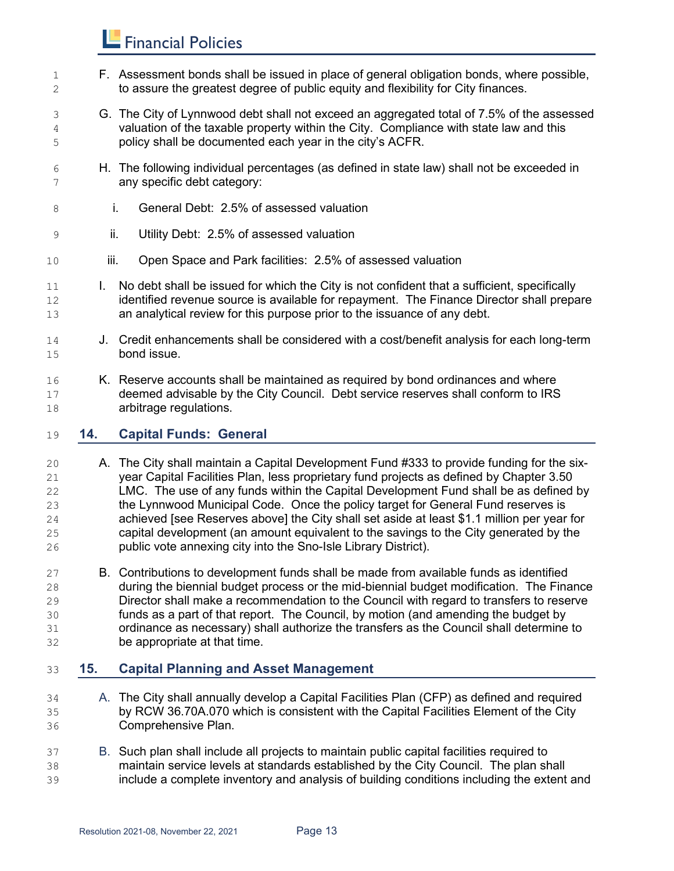- F. Assessment bonds shall be issued in place of general obligation bonds, where possible, to assure the greatest degree of public equity and flexibility for City finances.
- G. The City of Lynnwood debt shall not exceed an aggregated total of 7.5% of the assessed valuation of the taxable property within the City. Compliance with state law and this policy shall be documented each year in the city's ACFR.
- H. The following individual percentages (as defined in state law) shall not be exceeded in any specific debt category:
- i. General Debt: 2.5% of assessed valuation
- ii. Utility Debt: 2.5% of assessed valuation
- 10 iii. Open Space and Park facilities: 2.5% of assessed valuation
- I. No debt shall be issued for which the City is not confident that a sufficient, specifically 12 identified revenue source is available for repayment. The Finance Director shall prepare an analytical review for this purpose prior to the issuance of any debt.
- J. Credit enhancements shall be considered with a cost/benefit analysis for each long-term bond issue.
- K. Reserve accounts shall be maintained as required by bond ordinances and where deemed advisable by the City Council. Debt service reserves shall conform to IRS arbitrage regulations.

#### **14. Capital Funds: General**

- A. The City shall maintain a Capital Development Fund #333 to provide funding for the six- year Capital Facilities Plan, less proprietary fund projects as defined by Chapter 3.50 LMC. The use of any funds within the Capital Development Fund shall be as defined by the Lynnwood Municipal Code. Once the policy target for General Fund reserves is achieved [see Reserves above] the City shall set aside at least \$1.1 million per year for capital development (an amount equivalent to the savings to the City generated by the public vote annexing city into the Sno-Isle Library District).
- B. Contributions to development funds shall be made from available funds as identified during the biennial budget process or the mid-biennial budget modification. The Finance Director shall make a recommendation to the Council with regard to transfers to reserve funds as a part of that report. The Council, by motion (and amending the budget by ordinance as necessary) shall authorize the transfers as the Council shall determine to be appropriate at that time.

#### **15. Capital Planning and Asset Management**

- A. The City shall annually develop a Capital Facilities Plan (CFP) as defined and required by RCW 36.70A.070 which is consistent with the Capital Facilities Element of the City Comprehensive Plan.
- B. Such plan shall include all projects to maintain public capital facilities required to maintain service levels at standards established by the City Council. The plan shall include a complete inventory and analysis of building conditions including the extent and